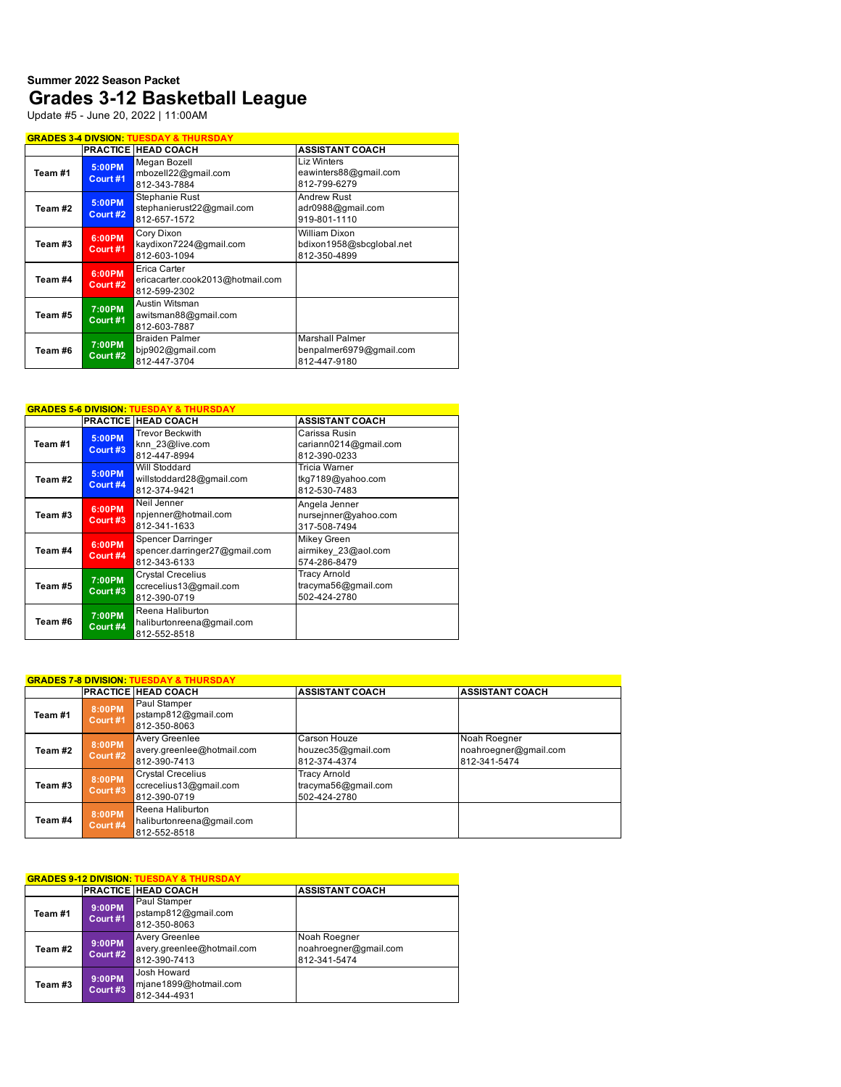## **Summer 2022 Season Packet Grades 3-12 Basketball League**

Update #5 - June 20, 2022 | 11:00AM

| <b>GRADES 3-4 DIVSION: TUESDAY &amp; THURSDAY</b> |                    |                                                                  |                                                                   |  |
|---------------------------------------------------|--------------------|------------------------------------------------------------------|-------------------------------------------------------------------|--|
|                                                   |                    | PRACTICE HEAD COACH                                              | <b>ASSISTANT COACH</b>                                            |  |
| Team#1                                            | 5:00PM<br>Court #1 | Megan Bozell<br>mbozell22@gmail.com<br>812-343-7884              | <b>Liz Winters</b><br>eawinters88@gmail.com<br>812-799-6279       |  |
| Team #2                                           | 5:00PM<br>Court #2 | Stephanie Rust<br>stephanierust22@gmail.com<br>812-657-1572      | Andrew Rust<br>adr0988@gmail.com<br>919-801-1110                  |  |
| Team #3                                           | 6:00PM<br>Court #1 | Cory Dixon<br>kaydixon7224@gmail.com<br>812-603-1094             | William Dixon<br>bdixon1958@sbcglobal.net<br>812-350-4899         |  |
| Team #4                                           | 6:00PM<br>Court #2 | Erica Carter<br>ericacarter.cook2013@hotmail.com<br>812-599-2302 |                                                                   |  |
| Team #5                                           | 7:00PM<br>Court #1 | Austin Witsman<br>awitsman88@gmail.com<br>812-603-7887           |                                                                   |  |
| Team #6                                           | 7:00PM<br>Court #2 | <b>Braiden Palmer</b><br>bjp902@gmail.com<br>812-447-3704        | <b>Marshall Palmer</b><br>benpalmer6979@gmail.com<br>812-447-9180 |  |

| <b>GRADES 5-6 DIVISION: TUESDAY &amp; THURSDAY</b> |                    |                                                                           |                                                        |  |  |
|----------------------------------------------------|--------------------|---------------------------------------------------------------------------|--------------------------------------------------------|--|--|
|                                                    |                    | <b>PRACTICE HEAD COACH</b>                                                | <b>ASSISTANT COACH</b>                                 |  |  |
| Team #1                                            | 5:00PM<br>Court #3 | <b>Trevor Beckwith</b><br>knn 23@live.com<br>812-447-8994                 | Carissa Rusin<br>cariann0214@gmail.com<br>812-390-0233 |  |  |
| Team #2                                            | 5:00PM<br>Court #4 | Will Stoddard<br>willstoddard28@gmail.com<br>812-374-9421                 | Tricia Warner<br>tkg7189@yahoo.com<br>812-530-7483     |  |  |
| Team #3                                            | 6:00PM<br>Court #3 | Neil Jenner<br>npjenner@hotmail.com<br>812-341-1633                       | Angela Jenner<br>nursejnner@yahoo.com<br>317-508-7494  |  |  |
| Team #4                                            | 6:00PM<br>Court #4 | <b>Spencer Darringer</b><br>spencer.darringer27@gmail.com<br>812-343-6133 | Mikey Green<br>airmikey 23@aol.com<br>574-286-8479     |  |  |
| Team #5                                            | 7:00PM<br>Court #3 | <b>Crystal Crecelius</b><br>ccrecelius13@gmail.com<br>812-390-0719        | Tracy Arnold<br>tracyma56@gmail.com<br>502-424-2780    |  |  |
| Team #6                                            | 7:00PM<br>Court #4 | Reena Haliburton<br>haliburtonreena@gmail.com<br>812-552-8518             |                                                        |  |  |

| <b>GRADES 7-8 DIVISION: TUESDAY &amp; THURSDAY</b> |                    |                                                                    |                                                            |                                                       |  |  |
|----------------------------------------------------|--------------------|--------------------------------------------------------------------|------------------------------------------------------------|-------------------------------------------------------|--|--|
|                                                    |                    | <b>PRACTICE HEAD COACH</b>                                         | <b>ASSISTANT COACH</b>                                     | <b>ASSISTANT COACH</b>                                |  |  |
| Team #1                                            | 8:00PM<br>Court #1 | Paul Stamper<br>pstamp812@gmail.com<br>812-350-8063                |                                                            |                                                       |  |  |
| Team #2                                            | 8:00PM<br>Court #2 | Avery Greenlee<br>avery.greenlee@hotmail.com<br>812-390-7413       | Carson Houze<br>houzec35@gmail.com<br>812-374-4374         | Noah Roegner<br>noahroegner@gmail.com<br>812-341-5474 |  |  |
| Team #3                                            | 8:00PM<br>Court #3 | <b>Crystal Crecelius</b><br>ccrecelius13@gmail.com<br>812-390-0719 | <b>Tracy Arnold</b><br>tracyma56@gmail.com<br>502-424-2780 |                                                       |  |  |
| Team #4                                            | 8:00PM<br>Court #4 | Reena Haliburton<br>haliburtonreena@gmail.com<br>812-552-8518      |                                                            |                                                       |  |  |

| <b>GRADES 9-12 DIVISION: TUESDAY &amp; THURSDAY</b> |                    |                                                              |                                                       |  |  |
|-----------------------------------------------------|--------------------|--------------------------------------------------------------|-------------------------------------------------------|--|--|
|                                                     |                    | <b>PRACTICE HEAD COACH</b>                                   | <b>ASSISTANT COACH</b>                                |  |  |
| Team #1                                             | 9:00PM<br>Court #1 | Paul Stamper<br>pstamp812@gmail.com<br>812-350-8063          |                                                       |  |  |
| Team #2                                             | 9:00PM<br>Court #2 | Avery Greenlee<br>avery.greenlee@hotmail.com<br>812-390-7413 | Noah Roegner<br>noahroegner@gmail.com<br>812-341-5474 |  |  |
| Team #3                                             | 9:00PM<br>Court #3 | Josh Howard<br>mjane1899@hotmail.com<br>812-344-4931         |                                                       |  |  |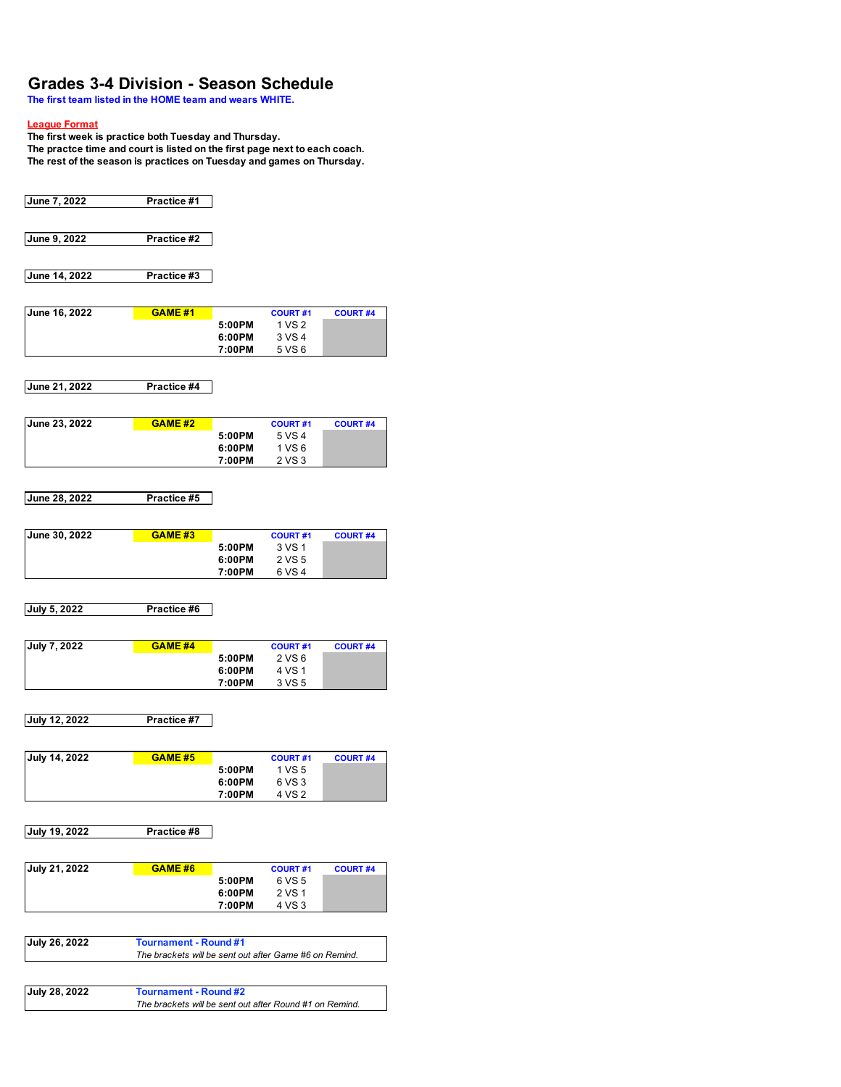## **Grades 3-4 Division - Season Schedule**

**The first team listed in the HOME team and wears WHITE.**

#### **League Format**

**The first week is practice both Tuesday and Thursday.** 

**The practce time and court is listed on the first page next to each coach. The rest of the season is practices on Tuesday and games on Thursday.** 

| June 7, 2022        | Practice #1                                            |                  |                          |                 |
|---------------------|--------------------------------------------------------|------------------|--------------------------|-----------------|
| June 9, 2022        | Practice #2                                            |                  |                          |                 |
|                     |                                                        |                  |                          |                 |
| June 14, 2022       | Practice #3                                            |                  |                          |                 |
|                     |                                                        |                  |                          |                 |
| June 16, 2022       | <b>GAME #1</b>                                         | 5:00PM           | <b>COURT#1</b><br>1 VS 2 | <b>COURT #4</b> |
|                     |                                                        | 6:00PM           | 3 VS 4                   |                 |
|                     |                                                        | 7:00PM           | 5 VS 6                   |                 |
| June 21, 2022       | Practice #4                                            |                  |                          |                 |
|                     |                                                        |                  |                          |                 |
| June 23, 2022       | <b>GAME #2</b>                                         |                  | <b>COURT#1</b>           | <b>COURT #4</b> |
|                     |                                                        | 5:00PM           | 5 VS 4                   |                 |
|                     |                                                        | 6:00PM           | 1 VS6                    |                 |
|                     |                                                        | 7:00PM           | 2 VS 3                   |                 |
| June 28, 2022       | Practice #5                                            |                  |                          |                 |
|                     |                                                        |                  |                          |                 |
| June 30, 2022       | <b>GAME #3</b>                                         |                  | <b>COURT#1</b>           | <b>COURT #4</b> |
|                     |                                                        | 5:00PM           | 3 VS 1                   |                 |
|                     |                                                        | 6:00PM           | 2 VS 5                   |                 |
|                     |                                                        | 7:00PM           | 6 VS 4                   |                 |
| July 5, 2022        | Practice #6                                            |                  |                          |                 |
|                     |                                                        |                  |                          |                 |
| <b>July 7, 2022</b> | <b>GAME #4</b>                                         |                  | <b>COURT#1</b>           | <b>COURT #4</b> |
|                     |                                                        | 5:00PM           | 2 VS 6                   |                 |
|                     |                                                        | 6:00PM<br>7:00PM | 4 VS 1<br>3 VS 5         |                 |
|                     |                                                        |                  |                          |                 |
| July 12, 2022       | Practice #7                                            |                  |                          |                 |
|                     |                                                        |                  |                          |                 |
| July 14, 2022       | <b>GAME #5</b>                                         | 5:00PM           | <b>COURT#1</b>           | <b>COURT #4</b> |
|                     |                                                        | 6:00PM           | 1 VS 5<br>6 VS 3         |                 |
|                     |                                                        | 7:00PM           | 4 VS 2                   |                 |
|                     |                                                        |                  |                          |                 |
| July 19, 2022       | Practice #8                                            |                  |                          |                 |
| July 21, 2022       | GAME #6                                                |                  | <b>COURT#1</b>           | <b>COURT #4</b> |
|                     |                                                        | 5:00PM           | 6 VS 5                   |                 |
|                     |                                                        | 6:00PM           | 2 VS 1                   |                 |
|                     |                                                        | 7:00PM           | 4 VS 3                   |                 |
| July 26, 2022       | <b>Tournament - Round #1</b>                           |                  |                          |                 |
|                     | The brackets will be sent out after Game #6 on Remind. |                  |                          |                 |
|                     |                                                        |                  |                          |                 |
| July 28, 2022       | <b>Tournament - Round #2</b>                           |                  |                          |                 |

*The brackets will be sent out after Round #1 on Remind.*

 $\overline{\phantom{a}}$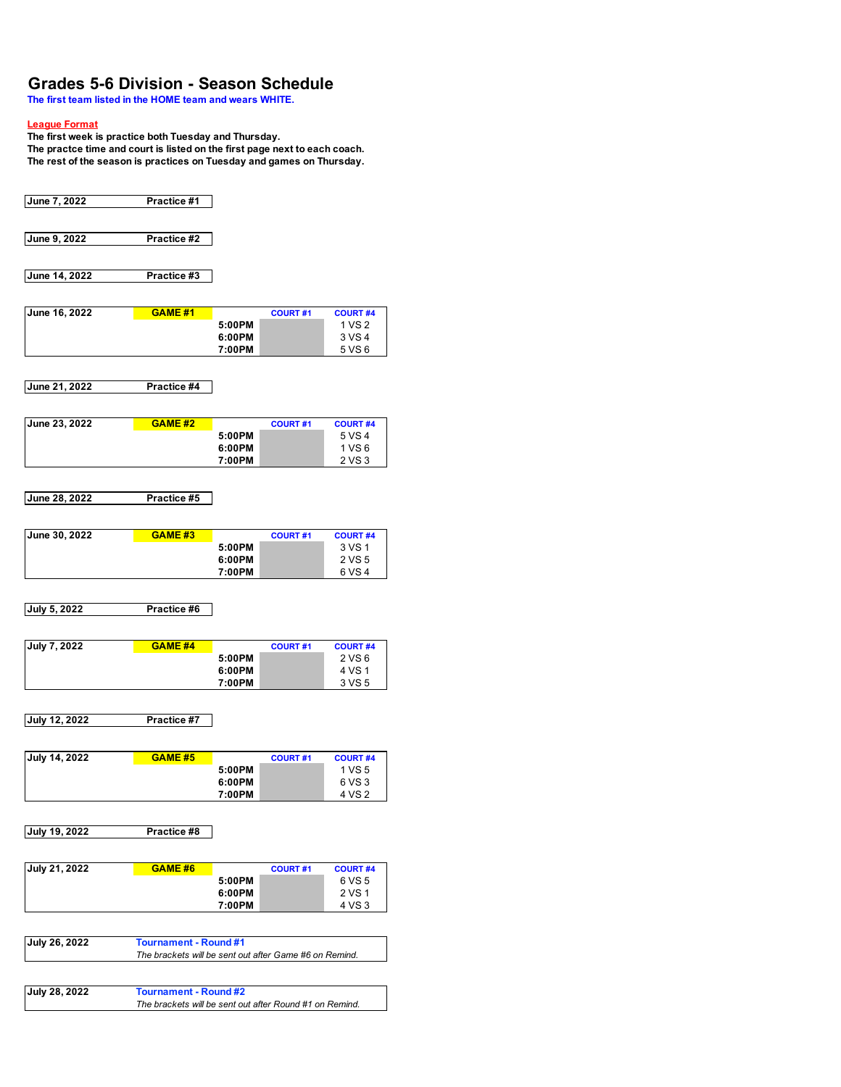## **Grades 5-6 Division - Season Schedule**

**The first team listed in the HOME team and wears WHITE.**

#### **League Format**

**The first week is practice both Tuesday and Thursday.** 

**The practce time and court is listed on the first page next to each coach. The rest of the season is practices on Tuesday and games on Thursday.** 

| June 7, 2022         | Practice #1                                            |                  |                 |                           |
|----------------------|--------------------------------------------------------|------------------|-----------------|---------------------------|
| June 9, 2022         | Practice #2                                            |                  |                 |                           |
|                      |                                                        |                  |                 |                           |
| June 14, 2022        | Practice #3                                            |                  |                 |                           |
| June 16, 2022        | <b>GAME #1</b>                                         |                  | <b>COURT#1</b>  | <b>COURT #4</b>           |
|                      |                                                        | 5:00PM           |                 | 1 VS 2<br>3 VS 4          |
|                      |                                                        | 6:00PM<br>7:00PM |                 | 5 VS 6                    |
| June 21, 2022        | Practice #4                                            |                  |                 |                           |
|                      |                                                        |                  |                 |                           |
| June 23, 2022        | <b>GAME #2</b>                                         |                  | <b>COURT#1</b>  | <b>COURT #4</b>           |
|                      |                                                        | 5:00PM           |                 | 5 VS 4<br>1 VS 6          |
|                      |                                                        | 6:00PM<br>7:00PM |                 | 2 VS 3                    |
|                      |                                                        |                  |                 |                           |
| June 28, 2022        | Practice #5                                            |                  |                 |                           |
| June 30, 2022        | <b>GAME #3</b>                                         |                  | <b>COURT #1</b> | <b>COURT #4</b>           |
|                      |                                                        | 5:00PM           |                 | 3 VS 1                    |
|                      |                                                        | 6:00PM<br>7:00PM |                 | 2 VS 5<br>6 VS 4          |
| July 5, 2022         | Practice #6                                            |                  |                 |                           |
| <b>July 7, 2022</b>  | <b>GAME #4</b>                                         |                  | <b>COURT#1</b>  | <b>COURT #4</b>           |
|                      |                                                        | 5:00PM<br>6:00PM |                 | 2 VS 6<br>4 VS 1          |
|                      |                                                        | 7:00PM           |                 | 3 VS 5                    |
| <b>July 12, 2022</b> | Practice #7                                            |                  |                 |                           |
|                      |                                                        |                  |                 |                           |
| July 14, 2022        | <b>GAME #5</b>                                         |                  | <b>COURT#1</b>  | <b>COURT #4</b>           |
|                      |                                                        | 5:00PM<br>6:00PM |                 | 1 VS 5<br>6 VS 3          |
|                      |                                                        | 7:00PM           |                 | 4 VS 2                    |
| July 19, 2022        | Practice #8                                            |                  |                 |                           |
|                      |                                                        |                  |                 |                           |
| <b>July 21, 2022</b> | <b>GAME #6</b>                                         |                  | <b>COURT#1</b>  | <b>COURT #4</b><br>6 VS 5 |
|                      |                                                        | 5:00PM<br>6:00PM |                 | 2 VS 1                    |
|                      |                                                        | 7:00PM           |                 | 4 VS 3                    |
| July 26, 2022        | <b>Tournament - Round #1</b>                           |                  |                 |                           |
|                      | The brackets will be sent out after Game #6 on Remind. |                  |                 |                           |
| July 28, 2022        | <b>Tournament - Round #2</b>                           |                  |                 |                           |
|                      |                                                        |                  |                 |                           |

*The brackets will be sent out after Round #1 on Remind.*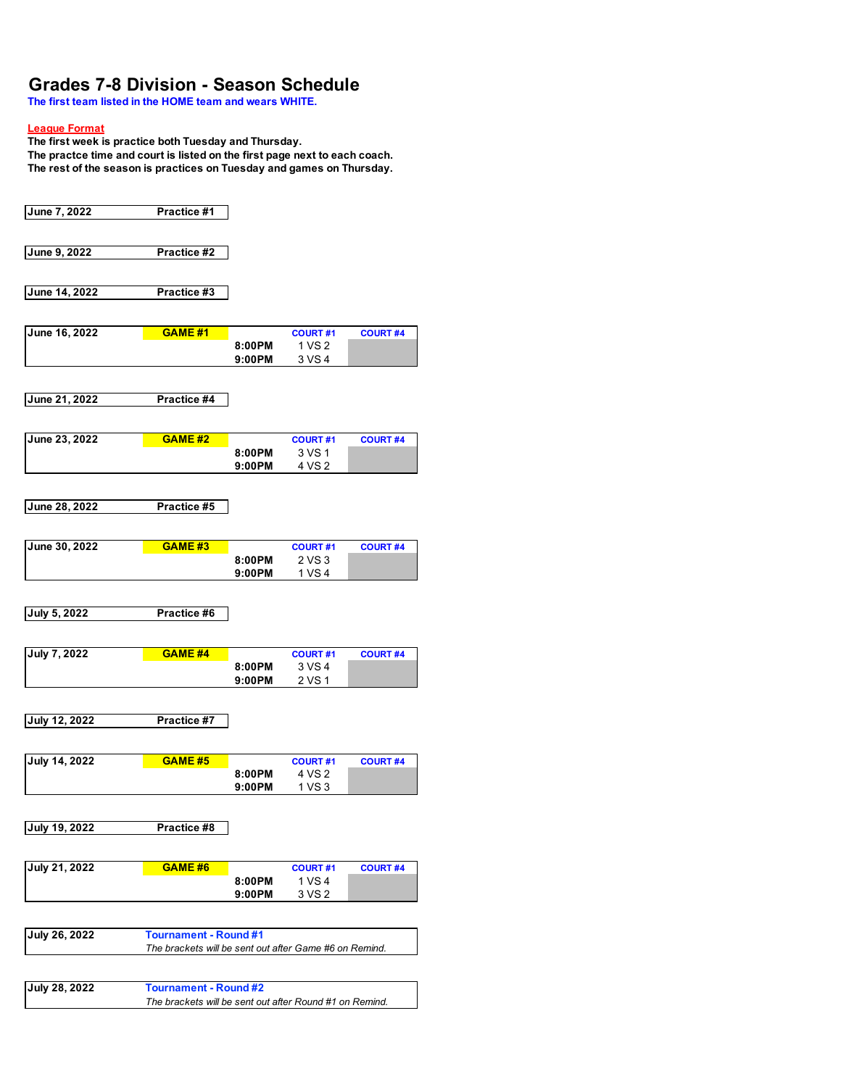# **Grades 7-8 Division - Season Schedule**

**The first team listed in the HOME team and wears WHITE.**

### **League Format**

**The first week is practice both Tuesday and Thursday.** 

**The practce time and court is listed on the first page next to each coach. The rest of the season is practices on Tuesday and games on Thursday.** 

| June 9, 2022<br>Practice #2<br>June 14, 2022<br>Practice #3<br>June 16, 2022<br><b>GAME #1</b><br><b>COURT #4</b><br><b>COURT#1</b><br>1 VS 2<br>8:00PM<br>3 VS 4<br>9:00PM |  |
|-----------------------------------------------------------------------------------------------------------------------------------------------------------------------------|--|
|                                                                                                                                                                             |  |
|                                                                                                                                                                             |  |
|                                                                                                                                                                             |  |
|                                                                                                                                                                             |  |
|                                                                                                                                                                             |  |
|                                                                                                                                                                             |  |
|                                                                                                                                                                             |  |
|                                                                                                                                                                             |  |
|                                                                                                                                                                             |  |
|                                                                                                                                                                             |  |
| June 21, 2022<br>Practice #4                                                                                                                                                |  |
|                                                                                                                                                                             |  |
|                                                                                                                                                                             |  |
| June 23, 2022<br><b>GAME #2</b><br><b>COURT#1</b><br><b>COURT #4</b>                                                                                                        |  |
| 3 VS 1<br>8:00PM<br>4 VS 2<br>9:00PM                                                                                                                                        |  |
|                                                                                                                                                                             |  |
|                                                                                                                                                                             |  |
| June 28, 2022<br>Practice #5                                                                                                                                                |  |
|                                                                                                                                                                             |  |
| June 30, 2022<br><b>GAME #3</b><br><b>COURT #4</b><br><b>COURT#1</b>                                                                                                        |  |
| 2 VS 3<br>8:00PM                                                                                                                                                            |  |
| 1 VS 4<br>9:00PM                                                                                                                                                            |  |
|                                                                                                                                                                             |  |
| <b>July 5, 2022</b><br>Practice #6                                                                                                                                          |  |
|                                                                                                                                                                             |  |
|                                                                                                                                                                             |  |
| <b>July 7, 2022</b><br><b>GAME #4</b><br><b>COURT #4</b><br><b>COURT#1</b><br>3 VS 4<br>8:00PM                                                                              |  |
| 2 VS 1<br>9:00PM                                                                                                                                                            |  |
|                                                                                                                                                                             |  |
|                                                                                                                                                                             |  |
| <b>July 12, 2022</b><br>Practice #7                                                                                                                                         |  |
|                                                                                                                                                                             |  |
| <b>July 14, 2022</b><br><b>GAME #5</b><br><b>COURT#1</b><br><b>COURT #4</b>                                                                                                 |  |
| 4 VS 2<br>8:00PM                                                                                                                                                            |  |
| 1 VS 3<br>9:00PM                                                                                                                                                            |  |
|                                                                                                                                                                             |  |
| July 19, 2022<br>Practice #8                                                                                                                                                |  |
|                                                                                                                                                                             |  |
| <b>July 21, 2022</b><br>GAME #6<br><b>COURT#1</b><br><b>COURT #4</b>                                                                                                        |  |
| 1 VS 4<br>8:00PM                                                                                                                                                            |  |
| 3 VS 2<br>9:00PM                                                                                                                                                            |  |
|                                                                                                                                                                             |  |
| <b>July 26, 2022</b><br><b>Tournament - Round #1</b>                                                                                                                        |  |
| The brackets will be sent out after Game #6 on Remind.                                                                                                                      |  |
|                                                                                                                                                                             |  |
|                                                                                                                                                                             |  |
|                                                                                                                                                                             |  |
| July 28, 2022<br><b>Tournament - Round #2</b>                                                                                                                               |  |
| The brackets will be sent out after Round #1 on Remind.                                                                                                                     |  |